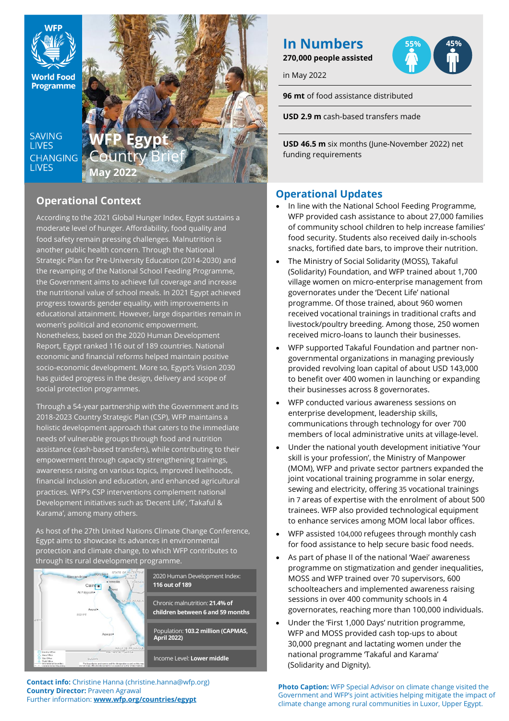

**Programme** 

**SAVING LIVES CHANGING LIVES** 



# **Operational Context**

According to the 2021 Global Hunger Index, Egypt sustains a moderate level of hunger. Affordability, food quality and food safety remain pressing challenges. Malnutrition is another public health concern. Through the National Strategic Plan for Pre-University Education (2014-2030) and the revamping of the National School Feeding Programme, the Government aims to achieve full coverage and increase the nutritional value of school meals. In 2021 Egypt achieved progress towards gender equality, with improvements in educational attainment. However, large disparities remain in women's political and economic empowerment. Nonetheless, based on the 2020 Human Development Report, Egypt ranked 116 out of 189 countries. National economic and financial reforms helped maintain positive socio-economic development. More so, Egypt's Vision 2030 has guided progress in the design, delivery and scope of social protection programmes.

Through a 54-year partnership with the Government and its 2018-2023 Country Strategic Plan (CSP), WFP maintains a holistic development approach that caters to the immediate needs of vulnerable groups through food and nutrition assistance (cash-based transfers), while contributing to their empowerment through capacity strengthening trainings, awareness raising on various topics, improved livelihoods, financial inclusion and education, and enhanced agricultural practices. WFP's CSP interventions complement national Development initiatives such as 'Decent Life', 'Takaful & Karama', among many others.

As host of the 27th United Nations Climate Change Conference, Egypt aims to showcase its advances in environmental protection and climate change, to which WFP contributes to through its rural development programme.



## **In Numbers 270,000 people assisted**

**55% 45%**

in May 2022

**96 mt** of food assistance distributed

**USD 2.9 m** cash-based transfers made

**USD 46.5 m** six months (June-November 2022) net funding requirements

# **Operational Updates**

- In line with the National School Feeding Programme, WFP provided cash assistance to about 27,000 families of community school children to help increase families' food security. Students also received daily in-schools snacks, fortified date bars, to improve their nutrition.
- The Ministry of Social Solidarity (MOSS), Takaful (Solidarity) Foundation, and WFP trained about 1,700 village women on micro-enterprise management from governorates under the 'Decent Life' national programme. Of those trained, about 960 women received vocational trainings in traditional crafts and livestock/poultry breeding. Among those, 250 women received micro-loans to launch their businesses.
- WFP supported Takaful Foundation and partner nongovernmental organizations in managing previously provided revolving loan capital of about USD 143,000 to benefit over 400 women in launching or expanding their businesses across 8 governorates.
- WFP conducted various awareness sessions on enterprise development, leadership skills, communications through technology for over 700 members of local administrative units at village-level.
- Under the national youth development initiative 'Your skill is your profession', the Ministry of Manpower (MOM), WFP and private sector partners expanded the joint vocational training programme in solar energy, sewing and electricity, offering 35 vocational trainings in 7 areas of expertise with the enrolment of about 500 trainees. WFP also provided technological equipment to enhance services among MOM local labor offices.
- WFP assisted 104,000 refugees through monthly cash for food assistance to help secure basic food needs.
- As part of phase II of the national 'Waei' awareness programme on stigmatization and gender inequalities, MOSS and WFP trained over 70 supervisors, 600 schoolteachers and implemented awareness raising sessions in over 400 community schools in 4 governorates, reaching more than 100,000 individuals.
- Under the 'First 1,000 Days' nutrition programme, WFP and MOSS provided cash top-ups to about 30,000 pregnant and lactating women under the national programme 'Takaful and Karama' (Solidarity and Dignity).

**Photo Caption:** WFP Special Advisor on climate change visited the Government and WFP's joint activities helping mitigate the impact of climate change among rural communities in Luxor, Upper Egypt.

**Contact info:** Christine Hanna (christine.hanna@wfp.org) **Country Director:** Praveen Agrawal Further information: **[www.wfp.org/countries/egypt](http://www1.wfp.org/countries/egypt)**